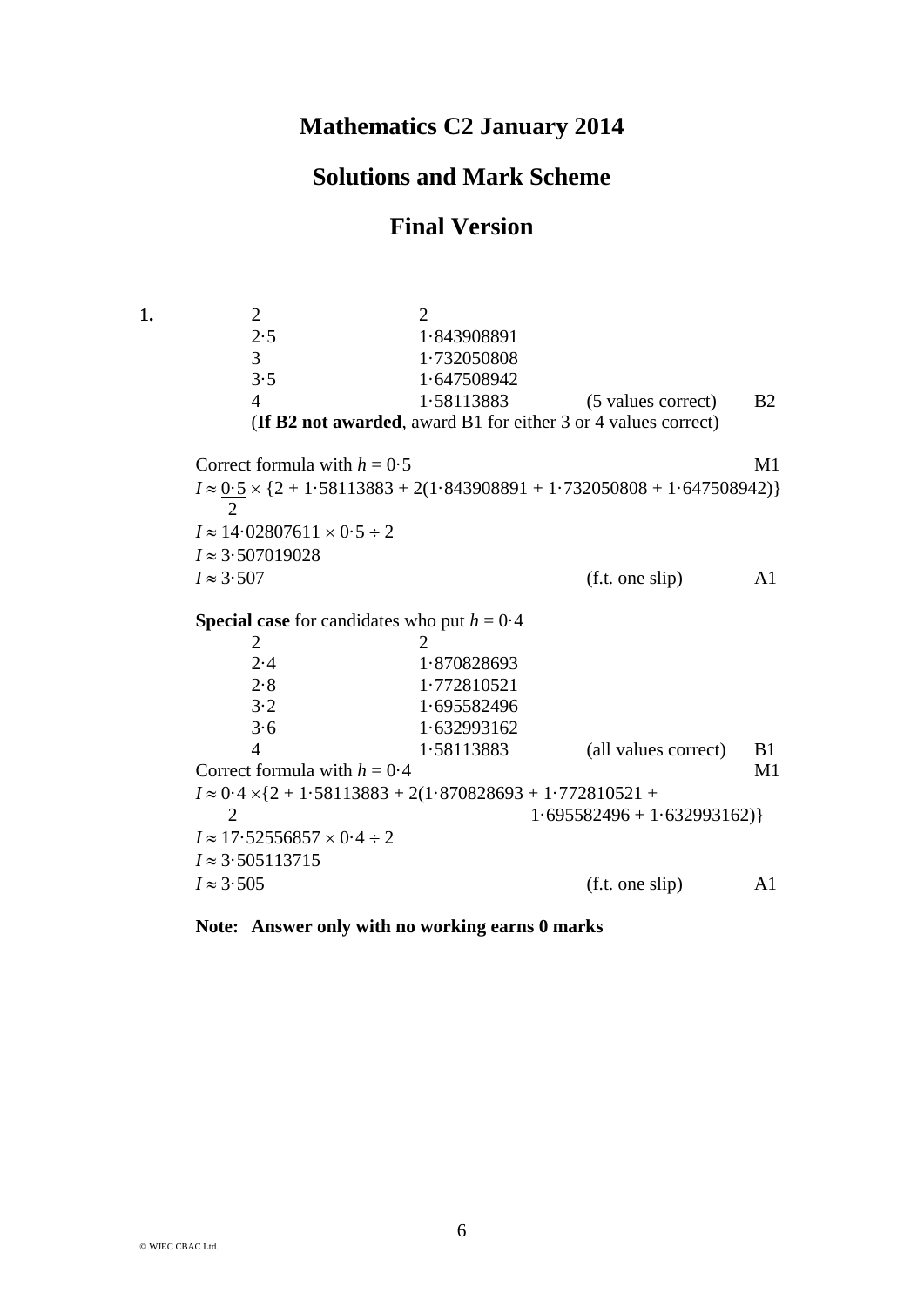## **Mathematics C2 January 2014**

## **Solutions and Mark Scheme**

## **Final Version**

**1.** 2 2 2·5 1·843908891 3 1·732050808 3·5 1·647508942 4 1·58113883 (5 values correct) B2 (**If B2 not awarded**, award B1 for either 3 or 4 values correct) Correct formula with  $h = 0.5$  M1  $I \approx 0.5 \times \{2 + 1.58113883 + 2(1.843908891 + 1.732050808 + 1.647508942)\}\$  2  $I \approx 14.02807611 \times 0.5 \div 2$  $I \approx 3.507019028$  $I \approx 3.507$  (f.t. one slip) A1 **Special case** for candidates who put  $h = 0.4$ 2 2 2·4 1·870828693 2·8 1·772810521 3·2 1·695582496 3·6 1·632993162 4 1·58113883 (all values correct) B1 Correct formula with  $h = 0.4$  M1  $I \approx 0.4 \times \{2 + 1.58113883 + 2(1.870828693 + 1.772810521 +$  $\overline{2}$  1.695582496 + 1.632993162)  $I \approx 17.52556857 \times 0.4 \div 2$  $I \approx 3.505113715$  $I \approx 3.505$  (f.t. one slip) A1

**Note: Answer only with no working earns 0 marks**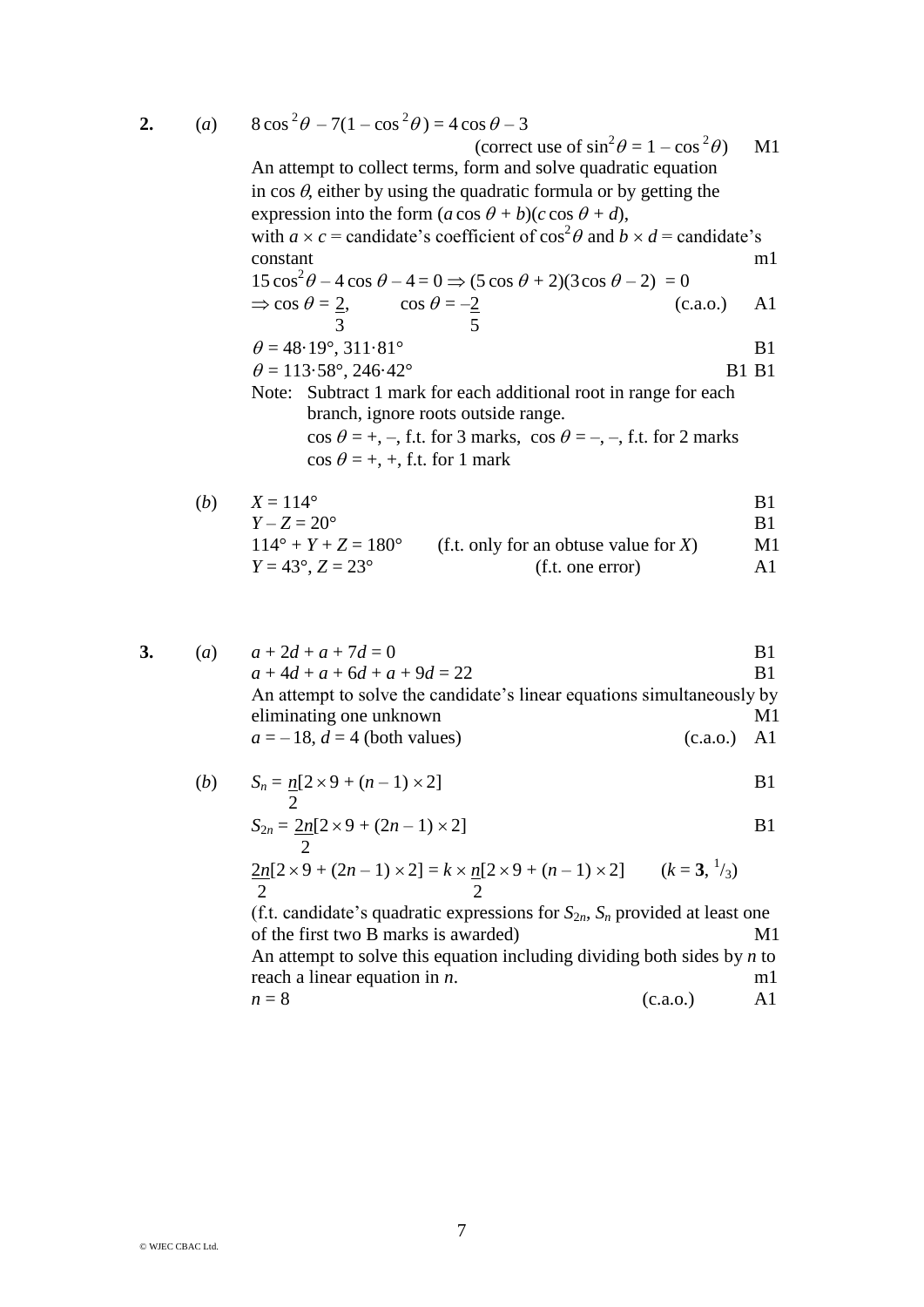**2.**  $(a)$ 

| (a) | $8\cos^2\theta - 7(1-\cos^2\theta) = 4\cos\theta - 3$                                         |       |  |
|-----|-----------------------------------------------------------------------------------------------|-------|--|
|     | (correct use of $\sin^2 \theta = 1 - \cos^2 \theta$ )                                         | M1    |  |
|     | An attempt to collect terms, form and solve quadratic equation                                |       |  |
|     | in $\cos \theta$ , either by using the quadratic formula or by getting the                    |       |  |
|     | expression into the form $(a \cos \theta + b)(c \cos \theta + d)$ ,                           |       |  |
|     | with $a \times c$ = candidate's coefficient of $\cos^2 \theta$ and $b \times d$ = candidate's |       |  |
|     | constant                                                                                      | m1    |  |
|     | $15\cos^2\theta - 4\cos\theta - 4 = 0 \Rightarrow (5\cos\theta + 2)(3\cos\theta - 2) = 0$     |       |  |
|     | $\Rightarrow$ cos $\theta = \frac{2}{3}$ , cos $\theta = -\frac{2}{5}$<br>(c.a.0.)            | A1    |  |
|     |                                                                                               |       |  |
|     | $\theta = 48.19^{\circ}, 311.81^{\circ}$                                                      | B1    |  |
|     | $\theta = 113.58^{\circ}, 246.42^{\circ}$                                                     | B1 B1 |  |
|     | Note: Subtract 1 mark for each additional root in range for each                              |       |  |
|     | branch, ignore roots outside range.                                                           |       |  |
|     | $\cos \theta = +, -, f.t.$ for 3 marks, $\cos \theta = -, -, f.t.$ for 2 marks                |       |  |
|     | $\cos \theta = +, +,$ f.t. for 1 mark                                                         |       |  |
| (b) | $X = 114^{\circ}$                                                                             | B1    |  |
|     | $Y - Z = 20^{\circ}$                                                                          | B1    |  |
|     |                                                                                               |       |  |

$$
Y - Z = 20^{\circ}
$$
  
114° + Y + Z = 180° (f.t. only for an obtuse value for X) M1  

$$
Y = 43^{\circ}, Z = 23^{\circ}
$$
 (f.t. one error) A1

3. (a) 
$$
a + 2d + a + 7d = 0
$$
  
\n $a + 4d + a + 6d + a + 9d = 22$   
\nAn attempt to solve the candidate's linear equations simultaneously by eliminating one unknown  
\n $a = -18$ ,  $d = 4$  (both values) (c.a.o.) A1

(b) 
$$
S_n = n[2 \times 9 + (n-1) \times 2]
$$
 B1

$$
S_{2n} = \frac{2n[2 \times 9 + (2n - 1) \times 2]}{2}
$$
 B1

$$
\frac{2n[2\times 9 + (2n-1) \times 2] = k \times n[2 \times 9 + (n-1) \times 2]}{2}
$$
 (k = 3, <sup>1</sup>/<sub>3</sub>)

(f.t. candidate's quadratic expressions for  $S_{2n}$ ,  $S_n$  provided at least one of the first two B marks is awarded) M1 An attempt to solve this equation including dividing both sides by *n* to reach a linear equation in *n*. m1  $n = 8$  (c.a.o.) A1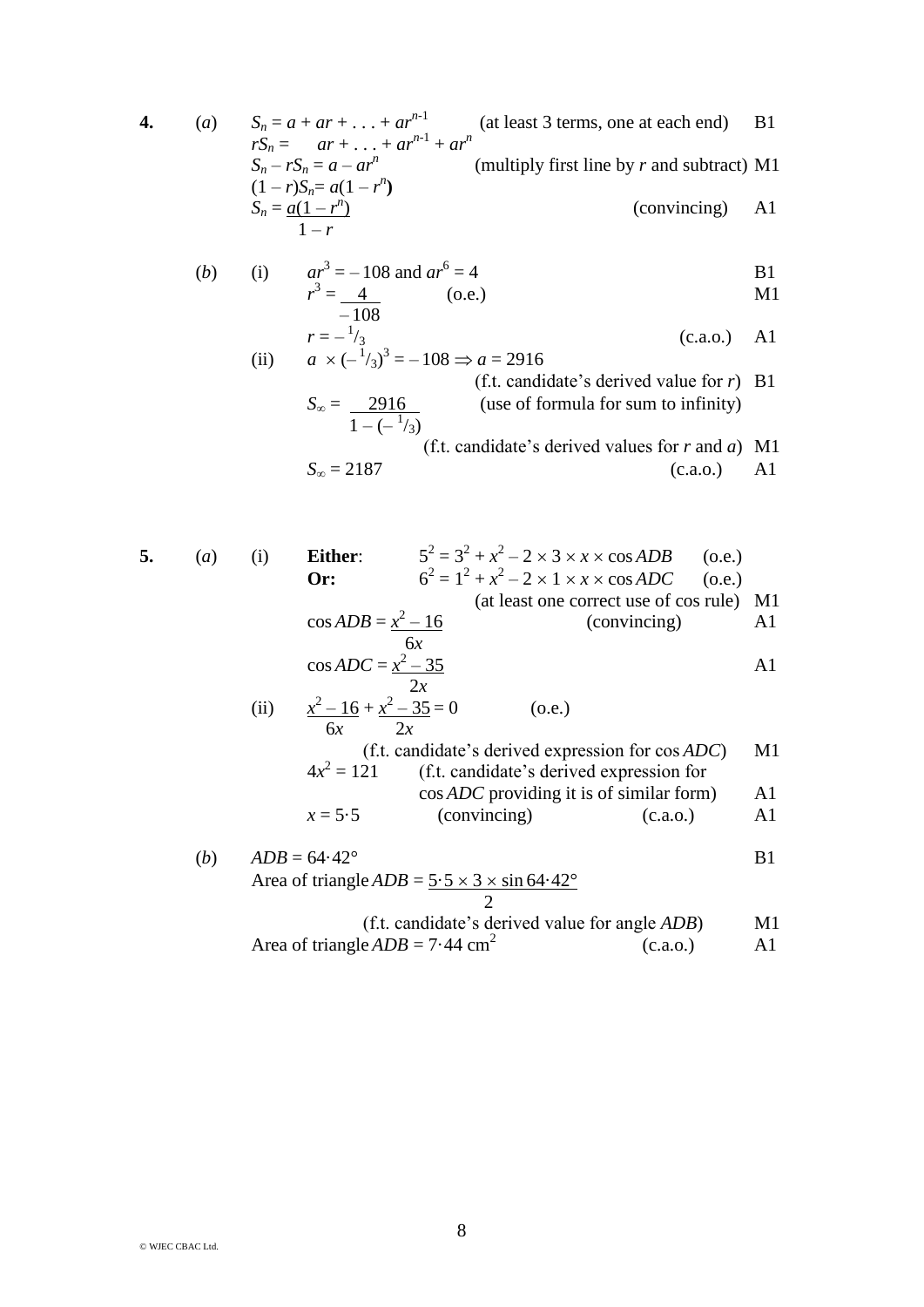**4.** (*a*)  $S_n = a + ar + ... + ar^{n-1}$  (at least 3 terms, one at each end) B1  $rS_n = ar + ... + ar^{n-1} + ar^n$  $S_n - rS_n = a - ar^n$ (multiply first line by *r* and subtract) M1  $(1 - r)S_n = a(1 - r^n)$  $S_n = a(1 - r^n)$ ) (convincing) A1  $1-r$ (*b*) (i)  $ar^3 = -108$  and  $ar^6 = 4$  B1  $r^3 = 4$  (o.e.) M1  $-108$  $r = -\frac{1}{3}$  (c.a.o.) A1 (ii)  $a \times (-\frac{1}{3})^3 = -108 \Rightarrow a = 2916$ (f.t. candidate's derived value for *r*) B1 (use of formula for sum to infinity)  $1 - (-\frac{1}{3})$ (f.t. candidate's derived values for *r* and *a*) M1  $S_{\infty} = 2187$  (c.a.o.) A1 **5.** (*a*) (i) **Either**: 5  $2^{2} = 3^{2} + x^{2} - 2 \times 3 \times x \times \cos ADB$  (o.e.) **Or:** 6  $x^2 = 1^2 + x^2 - 2 \times 1 \times x \times \cos ADC$  (o.e.) (at least one correct use of cos rule) M1  $\cos ADB = x^2$  $(convincing)$  A1 6*x*  $\cos ADC = \frac{x^2 - 35}{4}$  A1  $\frac{2x}{2-16+x^2-35}=0$  (o.e.) (ii) *x* 6*x* 2*x* (f.t. candidate's derived expression for cos *ADC*) M1  $4x^2$ = 121 (f.t. candidate's derived expression for cos *ADC* providing it is of similar form) A1  $x = 5.5$  (convincing) (c.a.o.) A1 (*b*)  $ADB = 64.42^{\circ}$  B1 Area of triangle  $ADB = 5.5 \times 3 \times \sin 64.42^{\circ}$  2 (f.t. candidate's derived value for angle *ADB*) M1

Area of triangle 
$$
ADB = 7.44 \text{ cm}^2
$$
 (c.a.o.) A1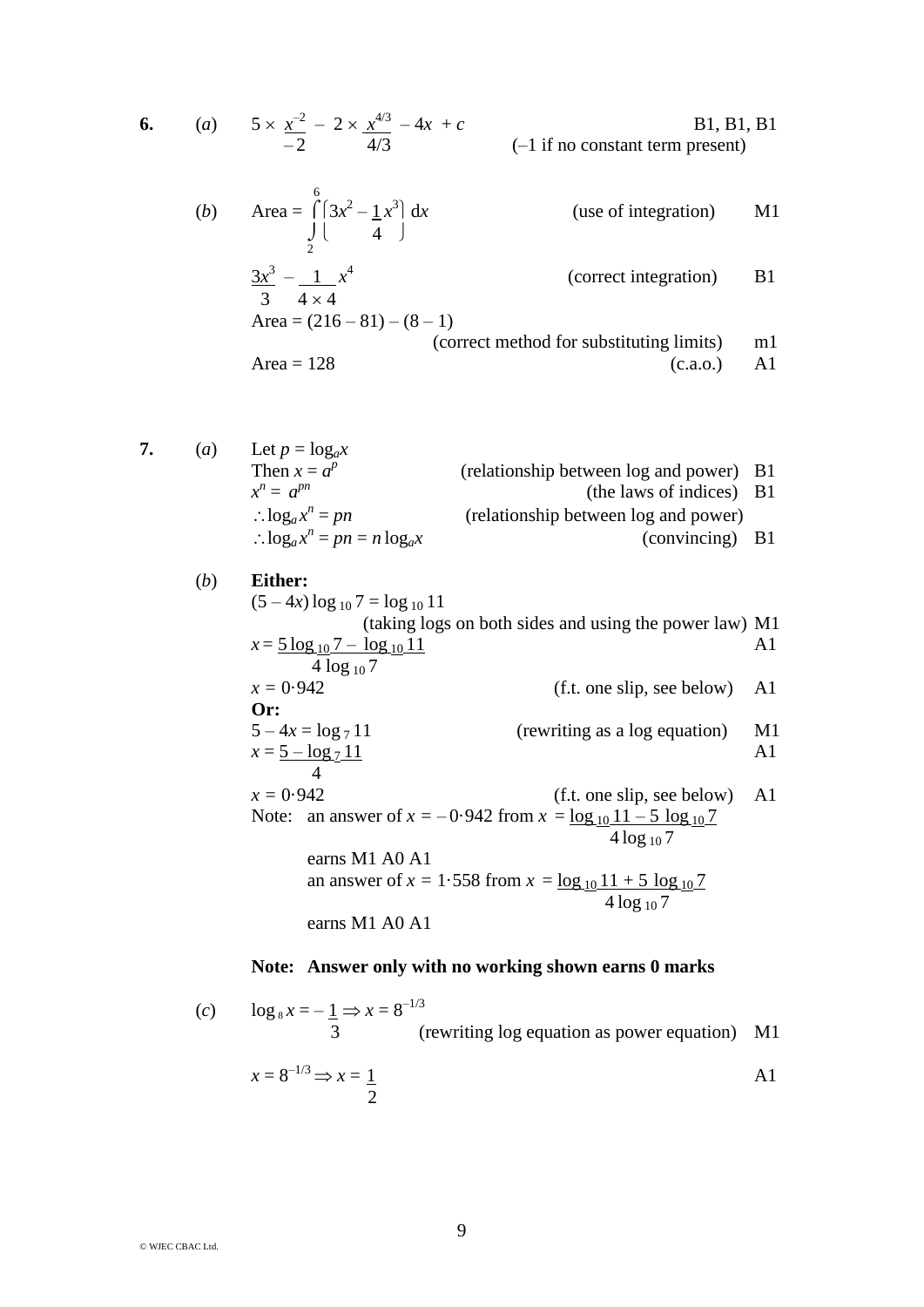6. (a) 
$$
5 \times \frac{x^{-2}}{-2} - 2 \times \frac{x^{4/3}}{4/3} - 4x + c
$$
 B1, B1, B1  
 (–1 if no constant term present)

(b) Area = 
$$
\int_{2}^{6} (3x^2 - 1x^3) dx
$$
 (use of integration) M1  
\n
$$
\frac{3x^3}{3} - \frac{1}{4 \times 4} x^4
$$
 (correct integration) B1  
\nArea = (216 - 81) - (8 - 1)  
\n(correct method for substituting limits) m1  
\nArea = 128 (c.a.o.) A1

7. (a) Let 
$$
p = \log_a x
$$
  
\nThen  $x = a^p$  (relationship between log and power) B1  
\n $x^n = a^{pn}$  (relationship between log and power) B1  
\n $\therefore \log_a x^n = pn$  (relationship between log and power)  
\n $\therefore \log_a x^n = pn = n \log_a x$  (convincing) B1

(b) Either:  
\n
$$
(5-4x) \log_{10} 7 = \log_{10} 11
$$
  
\n(taking logs on both sides and using the power law) M1  
\n $x = \frac{5 \log_{10} 7 - \log_{10} 11}{4 \log_{10} 7}$   
\n $x = 0.942$   
\n $5-4x = \log_7 11$   
\n $x = \frac{5 - \log_7 11}{4}$   
\n $x = 0.942$   
\n $x = 0.942$   
\n $x = 0.942$   
\n $x = 0.942$   
\n $x = 0.942$   
\n $x = 0.942$   
\n $x = 0.942$   
\n $x = 0.942$   
\n $x = 0.942$   
\n $x = 0.942$   
\n $x = 0.942$   
\n $x = 0.942$   
\n $x = \frac{\log_{10} 11 - 5 \log_{10} 7}{4 \log_{10} 7}$   
\n $x = \frac{\log_{10} 11 + 5 \log_{10} 7}{4 \log_{10} 7}$   
\ncarns M1 A0 A1  
\n $x = \frac{\log_{10} 11 + 5 \log_{10} 7}{4 \log_{10} 7}$ 

## **Note: Answer only with no working shown earns 0 marks**

(c) 
$$
\log_8 x = -\frac{1}{3} \Rightarrow x = 8^{-1/3}
$$
  
(rewriting log equation as power equation) M1  
 $x = 8^{-1/3} \Rightarrow x = \frac{1}{2}$  A1